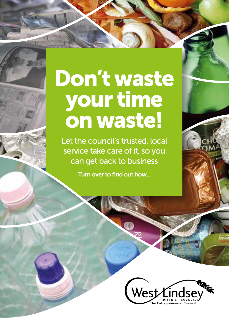# Don't waste your time on waste!

**Hispatrick Hills Apple** 

Let the council's trusted, local service take care of it, so you can get back to business

Turn over to find out how...

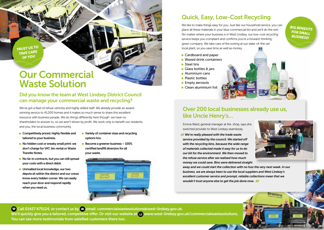*TRUST US TO TAKE CARE OF YOU*

## Our Commercial Waste Solution

#### Did you know the team at West Lindsey District Council can manage your commercial waste and recycling?

We've got a fleet of refuse vehicles and highly skilled staff. We already provide an awardwinning service to 41,000 homes and it makes so much sense to share this excellent resource with business people. We do things differently here though: we have no shareholders to answer to, so we aren't driven by profit. We work only to benefit our residents and you, the local business community.

• Competitively priced, highly flexible and tailored to your business.

Transfer Notes.

- No hidden cost or sneaky small print: we don't charge for VAT, bin rental or Waste
- No tie-in contracts, but you can still spread your costs with a direct debit.
- Unrivalled local knowledge, our two depots sit within the district and our crews know every hidden corner. We can easily reach your door and respond rapidly when you need us.
- Variety of container sizes and recycling options too. • Become a greener business – 100%
- certified landfill diversion for all your waste.



### Quick, Easy, Low-Cost Recycling

We like to make things easy for you. Just like our household service, you can place all these materials in your blue commercial bin and we'll do the rest. No matter where your business is in West Lindsey, our low-cost recycling service keeps you compliant and confirms you're a forward-thinking, green company. We take care of the sorting at our state-of-the-art local plant, so you save time as well as money.

- Cardboard and paper
- Waxed drink containers
- Steel tins
- Glass bottles & jars
- Aluminium cans
- Plastic bottles
- **•** Empty aerosols
- Clean aluminium foil



#### Over 200 local businesses already use us, like Uncle Henry's…

Emma Ward, general manager at the shop, says she switched provider to West Lindsey seamlessly.

 *We're really pleased with the trade waste service provided by the council. We started off with the recycling bins, because the wide range of materials collected made it easy for us to do our bit for the environment. We then moved to the refuse service after we realised how much money we could save. Bins were delivered straight* 



**Streetforce** 

*BIG BENEFITS FOR SMALL BUSINESS!*

*away and we could start the collection with no fuss the very next week. In our business, we are always keen to use the local suppliers and West Lindsey's excellent customer service and prompt, reliable collections mean that we wouldn't trust anyone else to get the job done now.*

<sup>8</sup> Call 01427 675124, or contact us by **a** email: commercialwastesolutions@west-lindsey.gov.uk. We'll quickly give you a tailored, competitive offer. Or visit our website at  $\Box$  www.west-lindsey.gov.uk/commercialwastesolutions. You can see more testimonials from satisfied customers there too.